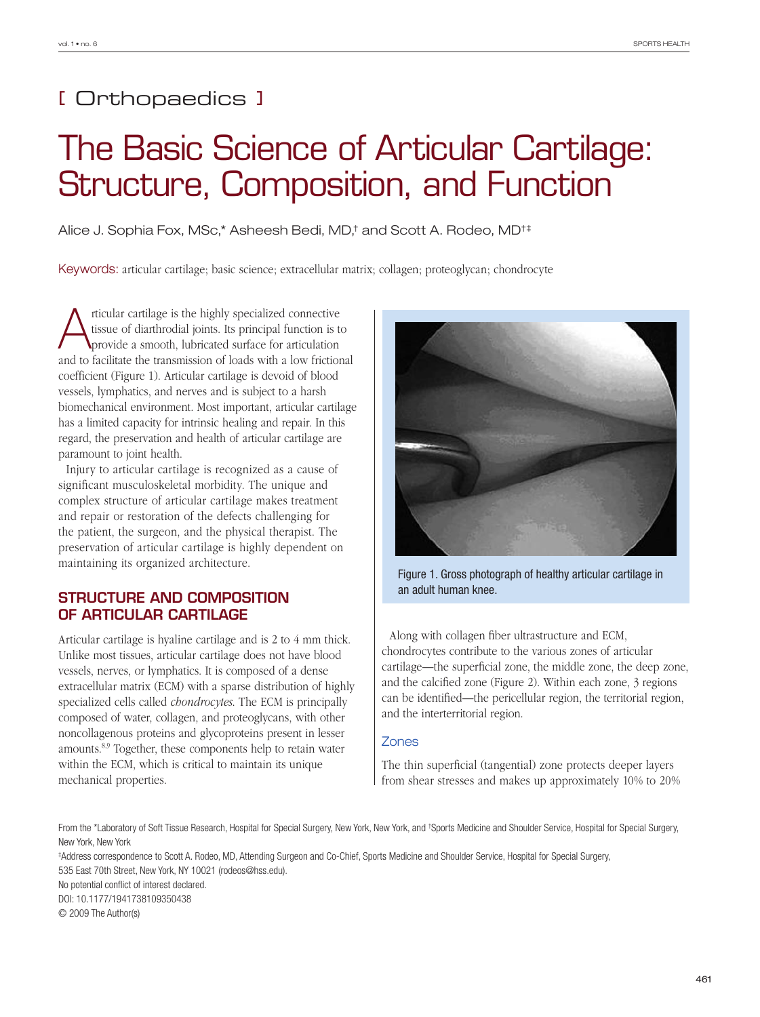# The Basic Science of Articular Cartilage: Structure, Composition, and Function

Alice J. Sophia Fox, MSc,\* Asheesh Bedi, MD,† and Scott A. Rodeo, MD†‡

Keywords: articular cartilage; basic science; extracellular matrix; collagen; proteoglycan; chondrocyte

Articular cartilage is the highly specialized connective<br>tissue of diarthrodial joints. Its principal function is to<br>provide a smooth, lubricated surface for articulation tissue of diarthrodial joints. Its principal function is to provide a smooth, lubricated surface for articulation and to facilitate the transmission of loads with a low frictional coefficient (Figure 1). Articular cartilage is devoid of blood vessels, lymphatics, and nerves and is subject to a harsh biomechanical environment. Most important, articular cartilage has a limited capacity for intrinsic healing and repair. In this regard, the preservation and health of articular cartilage are paramount to joint health.

Injury to articular cartilage is recognized as a cause of significant musculoskeletal morbidity. The unique and complex structure of articular cartilage makes treatment and repair or restoration of the defects challenging for the patient, the surgeon, and the physical therapist. The preservation of articular cartilage is highly dependent on maintaining its organized architecture.

## STRUCTURE AND COMPOSITION OF ARTICULAR CARTILAGE

Articular cartilage is hyaline cartilage and is 2 to 4 mm thick. Unlike most tissues, articular cartilage does not have blood vessels, nerves, or lymphatics. It is composed of a dense extracellular matrix (ECM) with a sparse distribution of highly specialized cells called *chondrocytes*. The ECM is principally composed of water, collagen, and proteoglycans, with other noncollagenous proteins and glycoproteins present in lesser amounts.8,9 Together, these components help to retain water within the ECM, which is critical to maintain its unique mechanical properties.



Figure 1. Gross photograph of healthy articular cartilage in an adult human knee.

Along with collagen fiber ultrastructure and ECM, chondrocytes contribute to the various zones of articular cartilage—the superficial zone, the middle zone, the deep zone, and the calcified zone (Figure 2). Within each zone, 3 regions can be identified—the pericellular region, the territorial region, and the interterritorial region.

## Zones

The thin superficial (tangential) zone protects deeper layers from shear stresses and makes up approximately 10% to 20%

From the \*Laboratory of Soft Tissue Research, Hospital for Special Surgery, New York, New York, and †Sports Medicine and Shoulder Service, Hospital for Special Surgery, New York, New York

‡ Address correspondence to Scott A. Rodeo, MD, Attending Surgeon and Co-Chief, Sports Medicine and Shoulder Service, Hospital for Special Surgery, 535 East 70th Street, New York, NY 10021 (rodeos@hss.edu).

No potential conflict of interest declared.

DOI: 10.1177/1941738109350438 © 2009 The Author(s)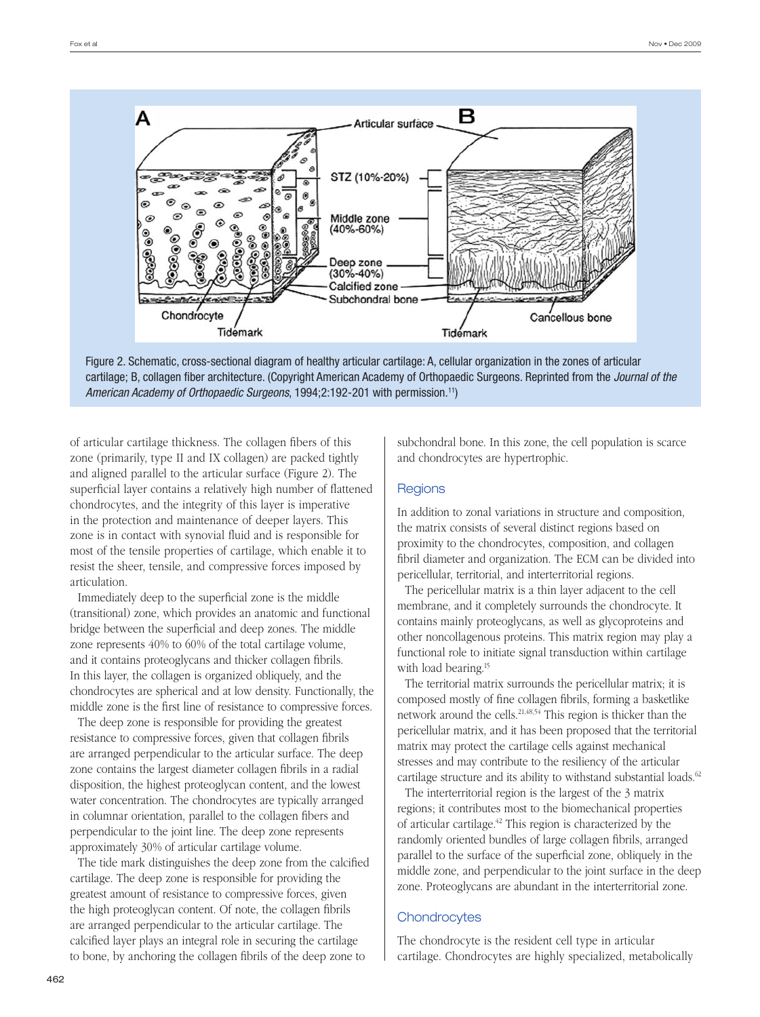



of articular cartilage thickness. The collagen fibers of this zone (primarily, type II and IX collagen) are packed tightly and aligned parallel to the articular surface (Figure 2). The superficial layer contains a relatively high number of flattened chondrocytes, and the integrity of this layer is imperative in the protection and maintenance of deeper layers. This zone is in contact with synovial fluid and is responsible for most of the tensile properties of cartilage, which enable it to resist the sheer, tensile, and compressive forces imposed by articulation.

Immediately deep to the superficial zone is the middle (transitional) zone, which provides an anatomic and functional bridge between the superficial and deep zones. The middle zone represents 40% to 60% of the total cartilage volume, and it contains proteoglycans and thicker collagen fibrils. In this layer, the collagen is organized obliquely, and the chondrocytes are spherical and at low density. Functionally, the middle zone is the first line of resistance to compressive forces.

The deep zone is responsible for providing the greatest resistance to compressive forces, given that collagen fibrils are arranged perpendicular to the articular surface. The deep zone contains the largest diameter collagen fibrils in a radial disposition, the highest proteoglycan content, and the lowest water concentration. The chondrocytes are typically arranged in columnar orientation, parallel to the collagen fibers and perpendicular to the joint line. The deep zone represents approximately 30% of articular cartilage volume.

The tide mark distinguishes the deep zone from the calcified cartilage. The deep zone is responsible for providing the greatest amount of resistance to compressive forces, given the high proteoglycan content. Of note, the collagen fibrils are arranged perpendicular to the articular cartilage. The calcified layer plays an integral role in securing the cartilage to bone, by anchoring the collagen fibrils of the deep zone to

subchondral bone. In this zone, the cell population is scarce and chondrocytes are hypertrophic.

#### **Regions**

In addition to zonal variations in structure and composition, the matrix consists of several distinct regions based on proximity to the chondrocytes, composition, and collagen fibril diameter and organization. The ECM can be divided into pericellular, territorial, and interterritorial regions.

The pericellular matrix is a thin layer adjacent to the cell membrane, and it completely surrounds the chondrocyte. It contains mainly proteoglycans, as well as glycoproteins and other noncollagenous proteins. This matrix region may play a functional role to initiate signal transduction within cartilage with load bearing.<sup>15</sup>

The territorial matrix surrounds the pericellular matrix; it is composed mostly of fine collagen fibrils, forming a basketlike network around the cells.21,48,54 This region is thicker than the pericellular matrix, and it has been proposed that the territorial matrix may protect the cartilage cells against mechanical stresses and may contribute to the resiliency of the articular cartilage structure and its ability to withstand substantial loads.<sup>62</sup>

The interterritorial region is the largest of the 3 matrix regions; it contributes most to the biomechanical properties of articular cartilage.42 This region is characterized by the randomly oriented bundles of large collagen fibrils, arranged parallel to the surface of the superficial zone, obliquely in the middle zone, and perpendicular to the joint surface in the deep zone. Proteoglycans are abundant in the interterritorial zone.

#### **Chondrocytes**

The chondrocyte is the resident cell type in articular cartilage. Chondrocytes are highly specialized, metabolically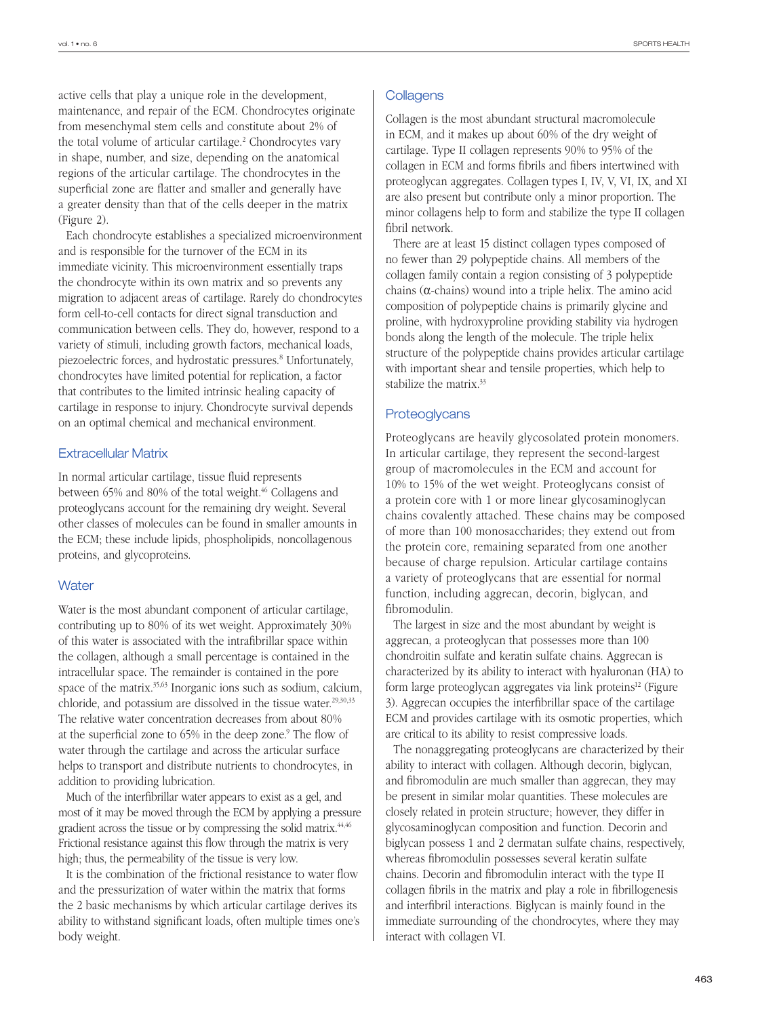active cells that play a unique role in the development, maintenance, and repair of the ECM. Chondrocytes originate from mesenchymal stem cells and constitute about 2% of the total volume of articular cartilage.<sup>2</sup> Chondrocytes vary in shape, number, and size, depending on the anatomical regions of the articular cartilage. The chondrocytes in the superficial zone are flatter and smaller and generally have a greater density than that of the cells deeper in the matrix (Figure 2).

Each chondrocyte establishes a specialized microenvironment and is responsible for the turnover of the ECM in its immediate vicinity. This microenvironment essentially traps the chondrocyte within its own matrix and so prevents any migration to adjacent areas of cartilage. Rarely do chondrocytes form cell-to-cell contacts for direct signal transduction and communication between cells. They do, however, respond to a variety of stimuli, including growth factors, mechanical loads, piezoelectric forces, and hydrostatic pressures.<sup>8</sup> Unfortunately, chondrocytes have limited potential for replication, a factor that contributes to the limited intrinsic healing capacity of cartilage in response to injury. Chondrocyte survival depends on an optimal chemical and mechanical environment.

#### Extracellular Matrix

In normal articular cartilage, tissue fluid represents between 65% and 80% of the total weight.<sup>46</sup> Collagens and proteoglycans account for the remaining dry weight. Several other classes of molecules can be found in smaller amounts in the ECM; these include lipids, phospholipids, noncollagenous proteins, and glycoproteins.

#### **Water**

Water is the most abundant component of articular cartilage, contributing up to 80% of its wet weight. Approximately 30% of this water is associated with the intrafibrillar space within the collagen, although a small percentage is contained in the intracellular space. The remainder is contained in the pore space of the matrix.35,63 Inorganic ions such as sodium, calcium, chloride, and potassium are dissolved in the tissue water.<sup>29,30,33</sup> The relative water concentration decreases from about 80% at the superficial zone to 65% in the deep zone.<sup>9</sup> The flow of water through the cartilage and across the articular surface helps to transport and distribute nutrients to chondrocytes, in addition to providing lubrication.

Much of the interfibrillar water appears to exist as a gel, and most of it may be moved through the ECM by applying a pressure gradient across the tissue or by compressing the solid matrix.<sup>44,46</sup> Frictional resistance against this flow through the matrix is very high; thus, the permeability of the tissue is very low.

It is the combination of the frictional resistance to water flow and the pressurization of water within the matrix that forms the 2 basic mechanisms by which articular cartilage derives its ability to withstand significant loads, often multiple times one's body weight.

#### **Collagens**

Collagen is the most abundant structural macromolecule in ECM, and it makes up about 60% of the dry weight of cartilage. Type II collagen represents 90% to 95% of the collagen in ECM and forms fibrils and fibers intertwined with proteoglycan aggregates. Collagen types I, IV, V, VI, IX, and XI are also present but contribute only a minor proportion. The minor collagens help to form and stabilize the type II collagen fibril network.

There are at least 15 distinct collagen types composed of no fewer than 29 polypeptide chains. All members of the collagen family contain a region consisting of 3 polypeptide chains (α-chains) wound into a triple helix. The amino acid composition of polypeptide chains is primarily glycine and proline, with hydroxyproline providing stability via hydrogen bonds along the length of the molecule. The triple helix structure of the polypeptide chains provides articular cartilage with important shear and tensile properties, which help to stabilize the matrix.<sup>33</sup>

#### **Proteoglycans**

Proteoglycans are heavily glycosolated protein monomers. In articular cartilage, they represent the second-largest group of macromolecules in the ECM and account for 10% to 15% of the wet weight. Proteoglycans consist of a protein core with 1 or more linear glycosaminoglycan chains covalently attached. These chains may be composed of more than 100 monosaccharides; they extend out from the protein core, remaining separated from one another because of charge repulsion. Articular cartilage contains a variety of proteoglycans that are essential for normal function, including aggrecan, decorin, biglycan, and fibromodulin.

The largest in size and the most abundant by weight is aggrecan, a proteoglycan that possesses more than 100 chondroitin sulfate and keratin sulfate chains. Aggrecan is characterized by its ability to interact with hyaluronan (HA) to form large proteoglycan aggregates via link proteins<sup>12</sup> (Figure 3). Aggrecan occupies the interfibrillar space of the cartilage ECM and provides cartilage with its osmotic properties, which are critical to its ability to resist compressive loads.

The nonaggregating proteoglycans are characterized by their ability to interact with collagen. Although decorin, biglycan, and fibromodulin are much smaller than aggrecan, they may be present in similar molar quantities. These molecules are closely related in protein structure; however, they differ in glycosaminoglycan composition and function. Decorin and biglycan possess 1 and 2 dermatan sulfate chains, respectively, whereas fibromodulin possesses several keratin sulfate chains. Decorin and fibromodulin interact with the type II collagen fibrils in the matrix and play a role in fibrillogenesis and interfibril interactions. Biglycan is mainly found in the immediate surrounding of the chondrocytes, where they may interact with collagen VI.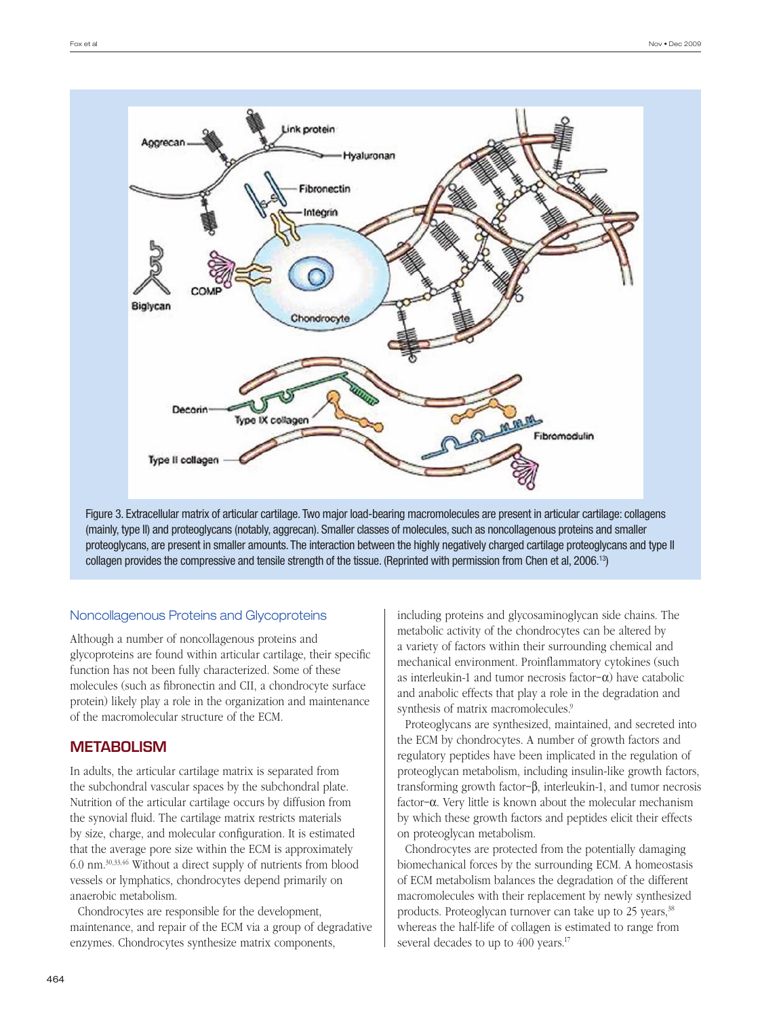

Figure 3. Extracellular matrix of articular cartilage. Two major load-bearing macromolecules are present in articular cartilage: collagens (mainly, type II) and proteoglycans (notably, aggrecan). Smaller classes of molecules, such as noncollagenous proteins and smaller proteoglycans, are present in smaller amounts. The interaction between the highly negatively charged cartilage proteoglycans and type II collagen provides the compressive and tensile strength of the tissue. (Reprinted with permission from Chen et al, 2006.13)

#### Noncollagenous Proteins and Glycoproteins

Although a number of noncollagenous proteins and glycoproteins are found within articular cartilage, their specific function has not been fully characterized. Some of these molecules (such as fibronectin and CII, a chondrocyte surface protein) likely play a role in the organization and maintenance of the macromolecular structure of the ECM.

## **METABOLISM**

In adults, the articular cartilage matrix is separated from the subchondral vascular spaces by the subchondral plate. Nutrition of the articular cartilage occurs by diffusion from the synovial fluid. The cartilage matrix restricts materials by size, charge, and molecular configuration. It is estimated that the average pore size within the ECM is approximately 6.0 nm.30,33,46 Without a direct supply of nutrients from blood vessels or lymphatics, chondrocytes depend primarily on anaerobic metabolism.

Chondrocytes are responsible for the development, maintenance, and repair of the ECM via a group of degradative enzymes. Chondrocytes synthesize matrix components,

including proteins and glycosaminoglycan side chains. The metabolic activity of the chondrocytes can be altered by a variety of factors within their surrounding chemical and mechanical environment. Proinflammatory cytokines (such as interleukin-1 and tumor necrosis factor−α) have catabolic and anabolic effects that play a role in the degradation and synthesis of matrix macromolecules.<sup>9</sup>

Proteoglycans are synthesized, maintained, and secreted into the ECM by chondrocytes. A number of growth factors and regulatory peptides have been implicated in the regulation of proteoglycan metabolism, including insulin-like growth factors, transforming growth factor−β, interleukin-1, and tumor necrosis factor−α. Very little is known about the molecular mechanism by which these growth factors and peptides elicit their effects on proteoglycan metabolism.

Chondrocytes are protected from the potentially damaging biomechanical forces by the surrounding ECM. A homeostasis of ECM metabolism balances the degradation of the different macromolecules with their replacement by newly synthesized products. Proteoglycan turnover can take up to 25 years,<sup>38</sup> whereas the half-life of collagen is estimated to range from several decades to up to 400 years.<sup>17</sup>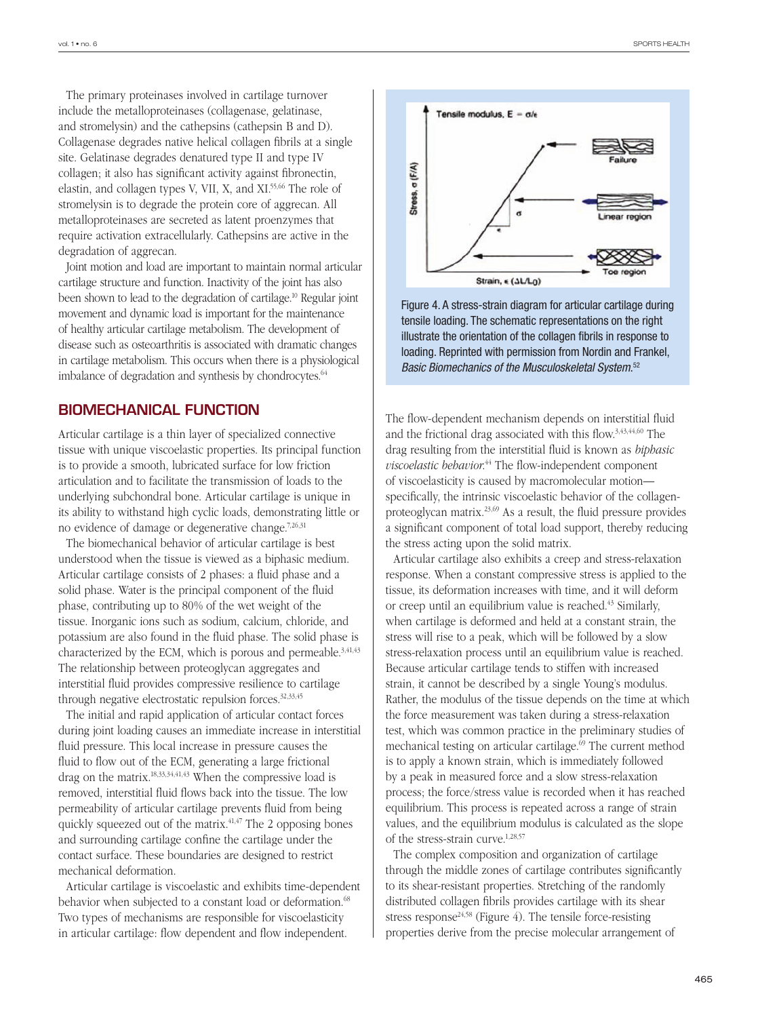vol. 1 • no. 6 SPORTS HEALTH

The primary proteinases involved in cartilage turnover include the metalloproteinases (collagenase, gelatinase, and stromelysin) and the cathepsins (cathepsin B and D). Collagenase degrades native helical collagen fibrils at a single site. Gelatinase degrades denatured type II and type IV collagen; it also has significant activity against fibronectin, elastin, and collagen types V, VII, X, and XI.<sup>55,66</sup> The role of stromelysin is to degrade the protein core of aggrecan. All metalloproteinases are secreted as latent proenzymes that require activation extracellularly. Cathepsins are active in the degradation of aggrecan.

Joint motion and load are important to maintain normal articular cartilage structure and function. Inactivity of the joint has also been shown to lead to the degradation of cartilage.10 Regular joint movement and dynamic load is important for the maintenance of healthy articular cartilage metabolism. The development of disease such as osteoarthritis is associated with dramatic changes in cartilage metabolism. This occurs when there is a physiological imbalance of degradation and synthesis by chondrocytes.<sup>64</sup>

## BIOMECHANICAL FUNCTION

Articular cartilage is a thin layer of specialized connective tissue with unique viscoelastic properties. Its principal function is to provide a smooth, lubricated surface for low friction articulation and to facilitate the transmission of loads to the underlying subchondral bone. Articular cartilage is unique in its ability to withstand high cyclic loads, demonstrating little or no evidence of damage or degenerative change.<sup>7,26,31</sup>

The biomechanical behavior of articular cartilage is best understood when the tissue is viewed as a biphasic medium. Articular cartilage consists of 2 phases: a fluid phase and a solid phase. Water is the principal component of the fluid phase, contributing up to 80% of the wet weight of the tissue. Inorganic ions such as sodium, calcium, chloride, and potassium are also found in the fluid phase. The solid phase is characterized by the ECM, which is porous and permeable.<sup>3,41,43</sup> The relationship between proteoglycan aggregates and interstitial fluid provides compressive resilience to cartilage through negative electrostatic repulsion forces.32,33,45

The initial and rapid application of articular contact forces during joint loading causes an immediate increase in interstitial fluid pressure. This local increase in pressure causes the fluid to flow out of the ECM, generating a large frictional drag on the matrix.18,33,34,41,43 When the compressive load is removed, interstitial fluid flows back into the tissue. The low permeability of articular cartilage prevents fluid from being quickly squeezed out of the matrix. $41,47$  The 2 opposing bones and surrounding cartilage confine the cartilage under the contact surface. These boundaries are designed to restrict mechanical deformation.

Articular cartilage is viscoelastic and exhibits time-dependent behavior when subjected to a constant load or deformation.<sup>68</sup> Two types of mechanisms are responsible for viscoelasticity in articular cartilage: flow dependent and flow independent.



Figure 4. A stress-strain diagram for articular cartilage during tensile loading. The schematic representations on the right illustrate the orientation of the collagen fibrils in response to loading. Reprinted with permission from Nordin and Frankel, *Basic Biomechanics of the Musculoskeletal System*. 52

The flow-dependent mechanism depends on interstitial fluid and the frictional drag associated with this flow.3,43,44,60 The drag resulting from the interstitial fluid is known as *biphasic viscoelastic behavior*. 44 The flow-independent component of viscoelasticity is caused by macromolecular motion specifically, the intrinsic viscoelastic behavior of the collagenproteoglycan matrix.23,69 As a result, the fluid pressure provides a significant component of total load support, thereby reducing the stress acting upon the solid matrix.

Articular cartilage also exhibits a creep and stress-relaxation response. When a constant compressive stress is applied to the tissue, its deformation increases with time, and it will deform or creep until an equilibrium value is reached.43 Similarly, when cartilage is deformed and held at a constant strain, the stress will rise to a peak, which will be followed by a slow stress-relaxation process until an equilibrium value is reached. Because articular cartilage tends to stiffen with increased strain, it cannot be described by a single Young's modulus. Rather, the modulus of the tissue depends on the time at which the force measurement was taken during a stress-relaxation test, which was common practice in the preliminary studies of mechanical testing on articular cartilage.<sup>69</sup> The current method is to apply a known strain, which is immediately followed by a peak in measured force and a slow stress-relaxation process; the force/stress value is recorded when it has reached equilibrium. This process is repeated across a range of strain values, and the equilibrium modulus is calculated as the slope of the stress-strain curve.1,28,57

The complex composition and organization of cartilage through the middle zones of cartilage contributes significantly to its shear-resistant properties. Stretching of the randomly distributed collagen fibrils provides cartilage with its shear stress response<sup>24,58</sup> (Figure 4). The tensile force-resisting properties derive from the precise molecular arrangement of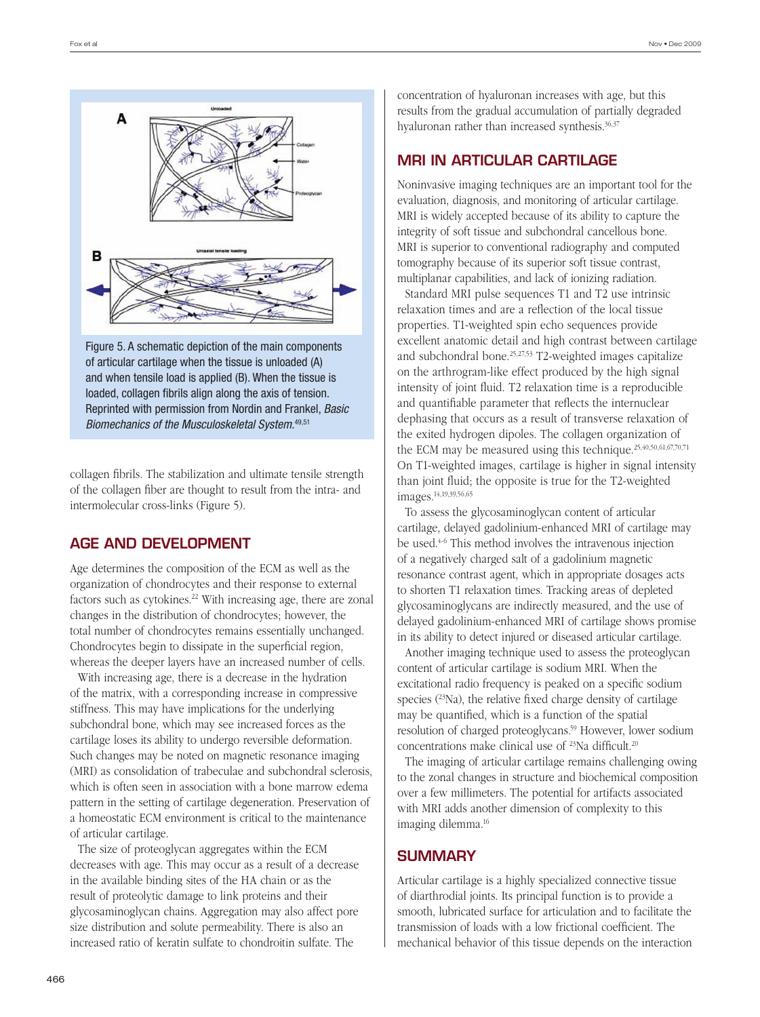

Figure 5. A schematic depiction of the main components of articular cartilage when the tissue is unloaded (A) and when tensile load is applied (B). When the tissue is loaded, collagen fibrils align along the axis of tension. Reprinted with permission from Nordin and Frankel, *Basic Biomechanics of the Musculoskeletal System*. 49,51

collagen fibrils. The stabilization and ultimate tensile strength of the collagen fiber are thought to result from the intra- and intermolecular cross-links (Figure 5).

## AGE AND DEVELOPMENT

Age determines the composition of the ECM as well as the organization of chondrocytes and their response to external factors such as cytokines.<sup>22</sup> With increasing age, there are zonal changes in the distribution of chondrocytes; however, the total number of chondrocytes remains essentially unchanged. Chondrocytes begin to dissipate in the superficial region, whereas the deeper layers have an increased number of cells.

With increasing age, there is a decrease in the hydration of the matrix, with a corresponding increase in compressive stiffness. This may have implications for the underlying subchondral bone, which may see increased forces as the cartilage loses its ability to undergo reversible deformation. Such changes may be noted on magnetic resonance imaging (MRI) as consolidation of trabeculae and subchondral sclerosis, which is often seen in association with a bone marrow edema pattern in the setting of cartilage degeneration. Preservation of a homeostatic ECM environment is critical to the maintenance of articular cartilage.

The size of proteoglycan aggregates within the ECM decreases with age. This may occur as a result of a decrease in the available binding sites of the HA chain or as the result of proteolytic damage to link proteins and their glycosaminoglycan chains. Aggregation may also affect pore size distribution and solute permeability. There is also an increased ratio of keratin sulfate to chondroitin sulfate. The

concentration of hyaluronan increases with age, but this results from the gradual accumulation of partially degraded hyaluronan rather than increased synthesis.<sup>36,37</sup>

## MRI IN ARTICULAR CARTILAGE

Noninvasive imaging techniques are an important tool for the evaluation, diagnosis, and monitoring of articular cartilage. MRI is widely accepted because of its ability to capture the integrity of soft tissue and subchondral cancellous bone. MRI is superior to conventional radiography and computed tomography because of its superior soft tissue contrast, multiplanar capabilities, and lack of ionizing radiation.

Standard MRI pulse sequences T1 and T2 use intrinsic relaxation times and are a reflection of the local tissue properties. T1-weighted spin echo sequences provide excellent anatomic detail and high contrast between cartilage and subchondral bone.<sup>25,27,53</sup> T2-weighted images capitalize on the arthrogram-like effect produced by the high signal intensity of joint fluid. T2 relaxation time is a reproducible and quantifiable parameter that reflects the internuclear dephasing that occurs as a result of transverse relaxation of the exited hydrogen dipoles. The collagen organization of the ECM may be measured using this technique.25,40,50,61,67,70,71 On T1-weighted images, cartilage is higher in signal intensity than joint fluid; the opposite is true for the T2-weighted images.14,19,39,56,65

To assess the glycosaminoglycan content of articular cartilage, delayed gadolinium-enhanced MRI of cartilage may be used.4-6 This method involves the intravenous injection of a negatively charged salt of a gadolinium magnetic resonance contrast agent, which in appropriate dosages acts to shorten T1 relaxation times. Tracking areas of depleted glycosaminoglycans are indirectly measured, and the use of delayed gadolinium-enhanced MRI of cartilage shows promise in its ability to detect injured or diseased articular cartilage.

Another imaging technique used to assess the proteoglycan content of articular cartilage is sodium MRI. When the excitational radio frequency is peaked on a specific sodium species  $(^{23}Na)$ , the relative fixed charge density of cartilage may be quantified, which is a function of the spatial resolution of charged proteoglycans.<sup>59</sup> However, lower sodium concentrations make clinical use of <sup>23</sup>Na difficult.<sup>20</sup>

The imaging of articular cartilage remains challenging owing to the zonal changes in structure and biochemical composition over a few millimeters. The potential for artifacts associated with MRI adds another dimension of complexity to this imaging dilemma.16

### **SUMMARY**

Articular cartilage is a highly specialized connective tissue of diarthrodial joints. Its principal function is to provide a smooth, lubricated surface for articulation and to facilitate the transmission of loads with a low frictional coefficient. The mechanical behavior of this tissue depends on the interaction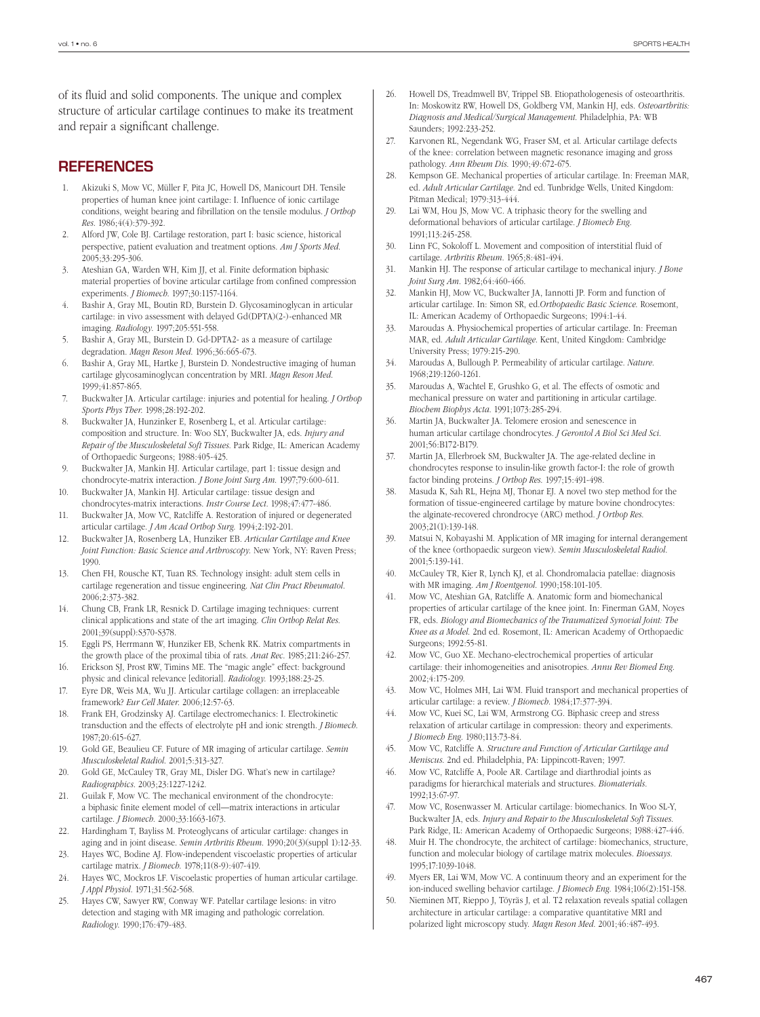of its fluid and solid components. The unique and complex structure of articular cartilage continues to make its treatment and repair a significant challenge.

#### **REFERENCES**

- 1. Akizuki S, Mow VC, Müller F, Pita JC, Howell DS, Manicourt DH. Tensile properties of human knee joint cartilage: I. Influence of ionic cartilage conditions, weight bearing and fibrillation on the tensile modulus. *J Orthop Res*. 1986;4(4):379-392.
- 2. Alford JW, Cole BJ. Cartilage restoration, part I: basic science, historical perspective, patient evaluation and treatment options. *Am J Sports Med*. 2005;33:295-306.
- Ateshian GA, Warden WH, Kim JJ, et al. Finite deformation biphasic material properties of bovine articular cartilage from confined compression experiments. *J Biomech*. 1997;30:1157-1164.
- 4. Bashir A, Gray ML, Boutin RD, Burstein D. Glycosaminoglycan in articular cartilage: in vivo assessment with delayed Gd(DPTA)(2-)-enhanced MR imaging. *Radiology*. 1997;205:551-558.
- 5. Bashir A, Gray ML, Burstein D. Gd-DPTA2- as a measure of cartilage degradation. *Magn Reson Med*. 1996;36:665-673.
- 6. Bashir A, Gray ML, Hartke J, Burstein D. Nondestructive imaging of human cartilage glycosaminoglycan concentration by MRI. *Magn Reson Med*. 1999;41:857-865.
- 7. Buckwalter JA. Articular cartilage: injuries and potential for healing. *J Orthop Sports Phys Ther*. 1998;28:192-202.
- 8. Buckwalter JA, Hunzinker E, Rosenberg L, et al. Articular cartilage: composition and structure. In: Woo SLY, Buckwalter JA, eds. *Injury and Repair of the Musculoskeletal Soft Tissues*. Park Ridge, IL: American Academy of Orthopaedic Surgeons; 1988:405-425.
- 9. Buckwalter JA, Mankin HJ. Articular cartilage, part 1: tissue design and chondrocyte-matrix interaction. *J Bone Joint Surg Am*. 1997;79:600-611.
- 10. Buckwalter JA, Mankin HJ. Articular cartilage: tissue design and chondrocytes-matrix interactions. *Instr Course Lect*. 1998;47:477-486.
- 11. Buckwalter JA, Mow VC, Ratcliffe A. Restoration of injured or degenerated articular cartilage. *J Am Acad Orthop Surg*. 1994;2:192-201.
- 12. Buckwalter JA, Rosenberg LA, Hunziker EB. *Articular Cartilage and Knee Joint Function: Basic Science and Arthroscopy*. New York, NY: Raven Press; 1990.
- 13. Chen FH, Rousche KT, Tuan RS. Technology insight: adult stem cells in cartilage regeneration and tissue engineering. *Nat Clin Pract Rheumatol*. 2006;2:373-382.
- 14. Chung CB, Frank LR, Resnick D. Cartilage imaging techniques: current clinical applications and state of the art imaging. *Clin Orthop Relat Res*. 2001;39(suppl):S370-S378.
- 15. Eggli PS, Herrmann W, Hunziker EB, Schenk RK. Matrix compartments in the growth place of the proximal tibia of rats. *Anat Rec*. 1985;211:246-257.
- 16. Erickson SJ, Prost RW, Timins ME. The "magic angle" effect: background physic and clinical relevance [editorial]. *Radiology*. 1993;188:23-25.
- 17. Eyre DR, Weis MA, Wu JJ. Articular cartilage collagen: an irreplaceable framework? *Eur Cell Mater*. 2006;12:57-63.
- 18. Frank EH, Grodzinsky AJ. Cartilage electromechanics: I. Electrokinetic transduction and the effects of electrolyte pH and ionic strength. *J Biomech*. 1987;20:615-627.
- 19. Gold GE, Beaulieu CF. Future of MR imaging of articular cartilage. *Semin Musculoskeletal Radiol*. 2001;5:313-327.
- 20. Gold GE, McCauley TR, Gray ML, Disler DG. What's new in cartilage? *Radiographics*. 2003;23:1227-1242.
- 21. Guilak F, Mow VC. The mechanical environment of the chondrocyte: a biphasic finite element model of cell—matrix interactions in articular cartilage. *J Biomech*. 2000;33:1663-1673.
- 22. Hardingham T, Bayliss M. Proteoglycans of articular cartilage: changes in aging and in joint disease. *Semin Arthritis Rheum*. 1990;20(3)(suppl 1):12-33.
- 23. Hayes WC, Bodine AJ. Flow-independent viscoelastic properties of articular cartilage matrix. *J Biomech*. 1978;11(8-9):407-419.
- 24. Hayes WC, Mockros LF. Viscoelastic properties of human articular cartilage. *J Appl Physiol*. 1971;31:562-568.
- 25. Hayes CW, Sawyer RW, Conway WF. Patellar cartilage lesions: in vitro detection and staging with MR imaging and pathologic correlation. *Radiology*. 1990;176:479-483.
- 26. Howell DS, Treadmwell BV, Trippel SB. Etiopathologenesis of osteoarthritis. In: Moskowitz RW, Howell DS, Goldberg VM, Mankin HJ, eds. *Osteoarthritis: Diagnosis and Medical/Surgical Management*. Philadelphia, PA: WB Saunders; 1992:233-252.
- 27. Karvonen RL, Negendank WG, Fraser SM, et al. Articular cartilage defects of the knee: correlation between magnetic resonance imaging and gross pathology. *Ann Rheum Dis*. 1990;49:672-675.
- 28. Kempson GE. Mechanical properties of articular cartilage. In: Freeman MAR, ed. *Adult Articular Cartilage*. 2nd ed. Tunbridge Wells, United Kingdom: Pitman Medical; 1979:313-444.
- 29. Lai WM, Hou JS, Mow VC. A triphasic theory for the swelling and deformational behaviors of articular cartilage. *J Biomech Eng*. 1991;113:245-258.
- 30. Linn FC, Sokoloff L. Movement and composition of interstitial fluid of cartilage. *Arthritis Rheum*. 1965;8:481-494.
- 31. Mankin HJ. The response of articular cartilage to mechanical injury. *J Bone Joint Surg Am*. 1982;64:460-466.
- 32. Mankin HJ, Mow VC, Buckwalter JA, Iannotti JP. Form and function of articular cartilage. In: Simon SR, ed.*Orthopaedic Basic Science*. Rosemont, IL: American Academy of Orthopaedic Surgeons; 1994:1-44.
- 33. Maroudas A. Physiochemical properties of articular cartilage. In: Freeman MAR, ed. *Adult Articular Cartilage*. Kent, United Kingdom: Cambridge University Press; 1979:215-290.
- 34. Maroudas A, Bullough P. Permeability of articular cartilage. *Nature*. 1968;219:1260-1261.
- 35. Maroudas A, Wachtel E, Grushko G, et al. The effects of osmotic and mechanical pressure on water and partitioning in articular cartilage. *Biochem Biophys Acta*. 1991;1073:285-294.
- 36. Martin JA, Buckwalter JA. Telomere erosion and senescence in human articular cartilage chondrocytes. *J Gerontol A Biol Sci Med Sci*. 2001;56:B172-B179.
- 37. Martin JA, Ellerbroek SM, Buckwalter JA. The age-related decline in chondrocytes response to insulin-like growth factor-I: the role of growth factor binding proteins. *J Orthop Res*. 1997;15:491-498.
- 38. Masuda K, Sah RL, Hejna MJ, Thonar EJ. A novel two step method for the formation of tissue-engineered cartilage by mature bovine chondrocytes: the alginate-recovered chrondrocye (ARC) method. *J Orthop Res*. 2003;21(1):139-148.
- Matsui N, Kobayashi M. Application of MR imaging for internal derangement of the knee (orthopaedic surgeon view). *Semin Musculoskeletal Radiol*. 2001;5:139-141.
- 40. McCauley TR, Kier R, Lynch KJ, et al. Chondromalacia patellae: diagnosis with MR imaging. *Am J Roentgenol*. 1990;158:101-105.
- 41. Mow VC, Ateshian GA, Ratcliffe A. Anatomic form and biomechanical properties of articular cartilage of the knee joint. In: Finerman GAM, Noyes FR, eds. *Biology and Biomechanics of the Traumatized Synovial Joint: The Knee as a Model*. 2nd ed. Rosemont, IL: American Academy of Orthopaedic Surgeons; 1992:55-81.
- 42. Mow VC, Guo XE. Mechano-electrochemical properties of articular cartilage: their inhomogeneities and anisotropies. *Annu Rev Biomed Eng*. 2002;4:175-209.
- 43. Mow VC, Holmes MH, Lai WM. Fluid transport and mechanical properties of articular cartilage: a review. *J Biomech*. 1984;17:377-394.
- 44. Mow VC, Kuei SC, Lai WM, Armstrong CG. Biphasic creep and stress relaxation of articular cartilage in compression: theory and experiments. *J Biomech Eng*. 1980;113:73-84.
- 45. Mow VC, Ratcliffe A. *Structure and Function of Articular Cartilage and Meniscus*. 2nd ed. Philadelphia, PA: Lippincott-Raven; 1997.
- 46. Mow VC, Ratcliffe A, Poole AR. Cartilage and diarthrodial joints as paradigms for hierarchical materials and structures. *Biomaterials*. 1992;13:67-97.
- 47. Mow VC, Rosenwasser M. Articular cartilage: biomechanics. In Woo SL-Y, Buckwalter JA, eds. *Injury and Repair to the Musculoskeletal Soft Tissues*. Park Ridge, IL: American Academy of Orthopaedic Surgeons; 1988:427-446.
- 48. Muir H. The chondrocyte, the architect of cartilage: biomechanics, structure, function and molecular biology of cartilage matrix molecules. *Bioessays*. 1995;17:1039-1048.
- 49. Myers ER, Lai WM, Mow VC. A continuum theory and an experiment for the ion-induced swelling behavior cartilage. *J Biomech Eng*. 1984;106(2):151-158.
- 50. Nieminen MT, Rieppo J, Töyräs J, et al. T2 relaxation reveals spatial collagen architecture in articular cartilage: a comparative quantitative MRI and polarized light microscopy study. *Magn Reson Med*. 2001;46:487-493.